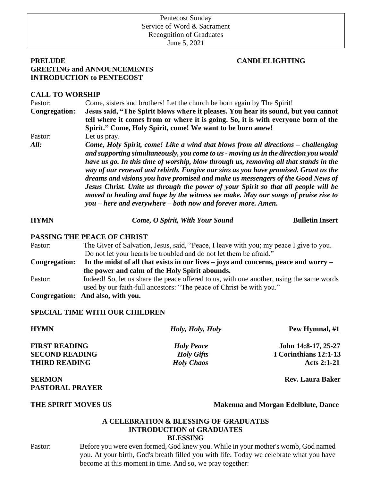# Pentecost Sunday Service of Word & Sacrament Recognition of Graduates

June 5, 2021

## **PRELUDE CANDLELIGHTING GREETING and ANNOUNCEMENTS INTRODUCTION to PENTECOST**

## **CALL TO WORSHIP**

Pastor: Come, sisters and brothers! Let the church be born again by The Spirit! **Congregation: Jesus said, "The Spirit blows where it pleases. You hear its sound, but you cannot tell where it comes from or where it is going. So, it is with everyone born of the Spirit." Come, Holy Spirit, come! We want to be born anew!** Pastor: Let us pray. *All: Come, Holy Spirit, come! Like a wind that blows from all directions – challenging and supporting simultaneously, you come to us - moving us in the direction you would have us go. In this time of worship, blow through us, removing all that stands in the way of our renewal and rebirth. Forgive our sins as you have promised. Grant us the dreams and visions you have promised and make us messengers of the Good News of Jesus Christ. Unite us through the power of your Spirit so that all people will be moved to healing and hope by the witness we make. May our songs of praise rise to you – here and everywhere – both now and forever more. Amen.*

**HYMN** *Come, O Spirit, With Your Sound* **<b>Bulletin Insert** 

## **PASSING THE PEACE OF CHRIST**

Pastor: The Giver of Salvation, Jesus, said, "Peace, I leave with you; my peace I give to you. Do not let your hearts be troubled and do not let them be afraid." **Congregation: In the midst of all that exists in our lives – joys and concerns, peace and worry – the power and calm of the Holy Spirit abounds.** Pastor: Indeed! So, let us share the peace offered to us, with one another, using the same words used by our faith-full ancestors: "The peace of Christ be with you."

**Congregation: And also, with you.**

## **SPECIAL TIME WITH OUR CHILDREN**

**HYMN** *Holy, Holy, Holy* **Pew Hymnal, #1 FIRST READING** *Holy Peace* **John 14:8-17, 25-27 SECOND READING** *Holy Gifts* **I Corinthians 12:1-13 THIRD READING** *Holy Chaos* **Acts 2:1-21 SERMON** Rev. Laura Baker **Rev.** Laura Baker **PASTORAL PRAYER** 

**THE SPIRIT MOVES US Makenna and Morgan Edelblute, Dance**

## **A CELEBRATION & BLESSING OF GRADUATES INTRODUCTION of GRADUATES BLESSING**

Pastor: Before you were even formed, God knew you. While in your mother's womb, God named you. At your birth, God's breath filled you with life. Today we celebrate what you have become at this moment in time. And so, we pray together: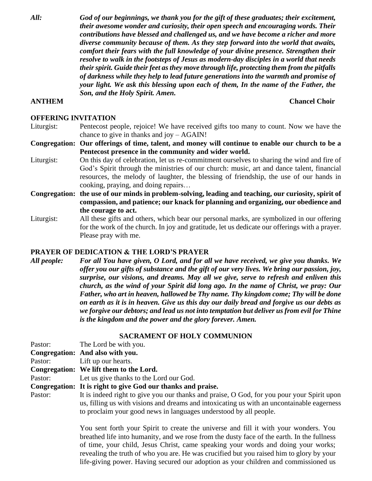*All: God of our beginnings, we thank you for the gift of these graduates; their excitement, their awesome wonder and curiosity, their open speech and encouraging words. Their contributions have blessed and challenged us, and we have become a richer and more diverse community because of them. As they step forward into the world that awaits, comfort their fears with the full knowledge of your divine presence. Strengthen their resolve to walk in the footsteps of Jesus as modern-day disciples in a world that needs their spirit. Guide their feet as they move through life, protecting them from the pitfalls of darkness while they help to lead future generations into the warmth and promise of your light. We ask this blessing upon each of them, In the name of the Father, the Son, and the Holy Spirit. Amen.*

## **ANTHEM** Chancel Choir **Chancel Choir Chancel Choir**

#### **OFFERING INVITATION**

- Liturgist: Pentecost people, rejoice! We have received gifts too many to count. Now we have the chance to give in thanks and joy – AGAIN!
- **Congregation: Our offerings of time, talent, and money will continue to enable our church to be a Pentecost presence in the community and wider world.**
- Liturgist: On this day of celebration, let us re-commitment ourselves to sharing the wind and fire of God's Spirit through the ministries of our church: music, art and dance talent, financial resources, the melody of laughter, the blessing of friendship, the use of our hands in cooking, praying, and doing repairs…
- **Congregation: the use of our minds in problem-solving, leading and teaching, our curiosity, spirit of compassion, and patience; our knack for planning and organizing, our obedience and the courage to act.**
- Liturgist: All these gifts and others, which bear our personal marks, are symbolized in our offering for the work of the church. In joy and gratitude, let us dedicate our offerings with a prayer. Please pray with me.

#### **PRAYER OF DEDICATION & THE LORD'S PRAYER**

*All people: For all You have given, O Lord, and for all we have received, we give you thanks. We offer you our gifts of substance and the gift of our very lives. We bring our passion, joy, surprise, our visions, and dreams. May all we give, serve to refresh and enliven this church, as the wind of your Spirit did long ago. In the name of Christ, we pray: Our Father, who art in heaven, hallowed be Thy name. Thy kingdom come; Thy will be done on earth as it is in heaven. Give us this day our daily bread and forgive us our debts as we forgive our debtors; and lead us not into temptation but deliver us from evil for Thine is the kingdom and the power and the glory forever. Amen.*

### **SACRAMENT OF HOLY COMMUNION**

| Pastor: | The Lord be with you.                                                                                                                                                                                                                                         |
|---------|---------------------------------------------------------------------------------------------------------------------------------------------------------------------------------------------------------------------------------------------------------------|
|         | Congregation: And also with you.                                                                                                                                                                                                                              |
| Pastor: | Lift up our hearts.                                                                                                                                                                                                                                           |
|         | Congregation: We lift them to the Lord.                                                                                                                                                                                                                       |
| Pastor: | Let us give thanks to the Lord our God.                                                                                                                                                                                                                       |
|         | Congregation: It is right to give God our thanks and praise.                                                                                                                                                                                                  |
| Pastor: | It is indeed right to give you our thanks and praise, O God, for you pour your Spirit upon<br>us, filling us with visions and dreams and intoxicating us with an uncontainable eagerness<br>to proclaim your good news in languages understood by all people. |

You sent forth your Spirit to create the universe and fill it with your wonders. You breathed life into humanity, and we rose from the dusty face of the earth. In the fullness of time, your child, Jesus Christ, came speaking your words and doing your works; revealing the truth of who you are. He was crucified but you raised him to glory by your life-giving power. Having secured our adoption as your children and commissioned us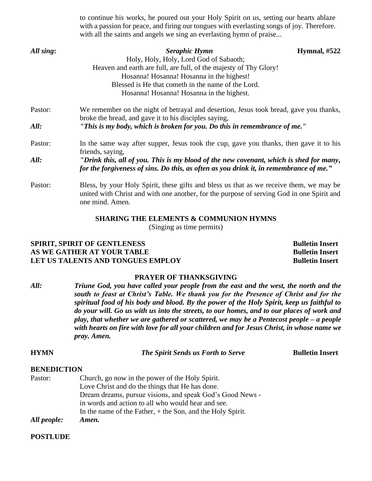|           | with a passion for peace, and firing our tongues with everlasting songs of joy. Therefore.<br>with all the saints and angels we sing an everlasting hymn of praise                                      |                |
|-----------|---------------------------------------------------------------------------------------------------------------------------------------------------------------------------------------------------------|----------------|
| All sing: | Seraphic Hymn                                                                                                                                                                                           | Hymnal, $#522$ |
|           | Holy, Holy, Holy, Lord God of Sabaoth;                                                                                                                                                                  |                |
|           | Heaven and earth are full, are full, of the majesty of Thy Glory!                                                                                                                                       |                |
|           | Hosanna! Hosanna! Hosanna in the highest!                                                                                                                                                               |                |
|           | Blessed is He that cometh in the name of the Lord.                                                                                                                                                      |                |
|           | Hosanna! Hosanna! Hosanna in the highest.                                                                                                                                                               |                |
| Pastor:   | We remember on the night of betrayal and desertion, Jesus took bread, gave you thanks,<br>broke the bread, and gave it to his disciples saying,                                                         |                |
| All:      | "This is my body, which is broken for you. Do this in remembrance of me."                                                                                                                               |                |
| Pastor:   | In the same way after supper, Jesus took the cup, gave you thanks, then gave it to his<br>friends, saying,                                                                                              |                |
| All:      | "Drink this, all of you. This is my blood of the new covenant, which is shed for many,<br>for the forgiveness of sins. Do this, as often as you drink it, in remembrance of me."                        |                |
| Pastor:   | Bless, by your Holy Spirit, these gifts and bless us that as we receive them, we may be<br>united with Christ and with one another, for the purpose of serving God in one Spirit and<br>one mind. Amen. |                |

to continue his works, he poured out your Holy Spirit on us, setting our hearts ablaze

#### **SHARING THE ELEMENTS & COMMUNION HYMNS**

(Singing as time permits)

## **SPIRIT, SPIRIT OF GENTLENESS** Bulletin Insert **AS WE GATHER AT YOUR TABLE Bulletin Insert LET US TALENTS AND TONGUES EMPLOY Bulletin Insert**

### **PRAYER OF THANKSGIVING**

*All: Triune God, you have called your people from the east and the west, the north and the south to feast at Christ's Table. We thank you for the Presence of Christ and for the spiritual food of his body and blood. By the power of the Holy Spirit, keep us faithful to do your will. Go us with us into the streets, to our homes, and to our places of work and play, that whether we are gathered or scattered, we may be a Pentecost people – a people with hearts on fire with love for all your children and for Jesus Christ, in whose name we pray. Amen.*

#### **HYMN** *The Spirit Sends us Forth to Serve* **<b>***Bulletin Insert*

#### **BENEDICTION**

Pastor: Church, go now in the power of the Holy Spirit. Love Christ and do the things that He has done. Dream dreams, pursue visions, and speak God's Good News in words and action to all who would hear and see. In the name of the Father, + the Son, and the Holy Spirit. *All people: Amen.*

#### **POSTLUDE**